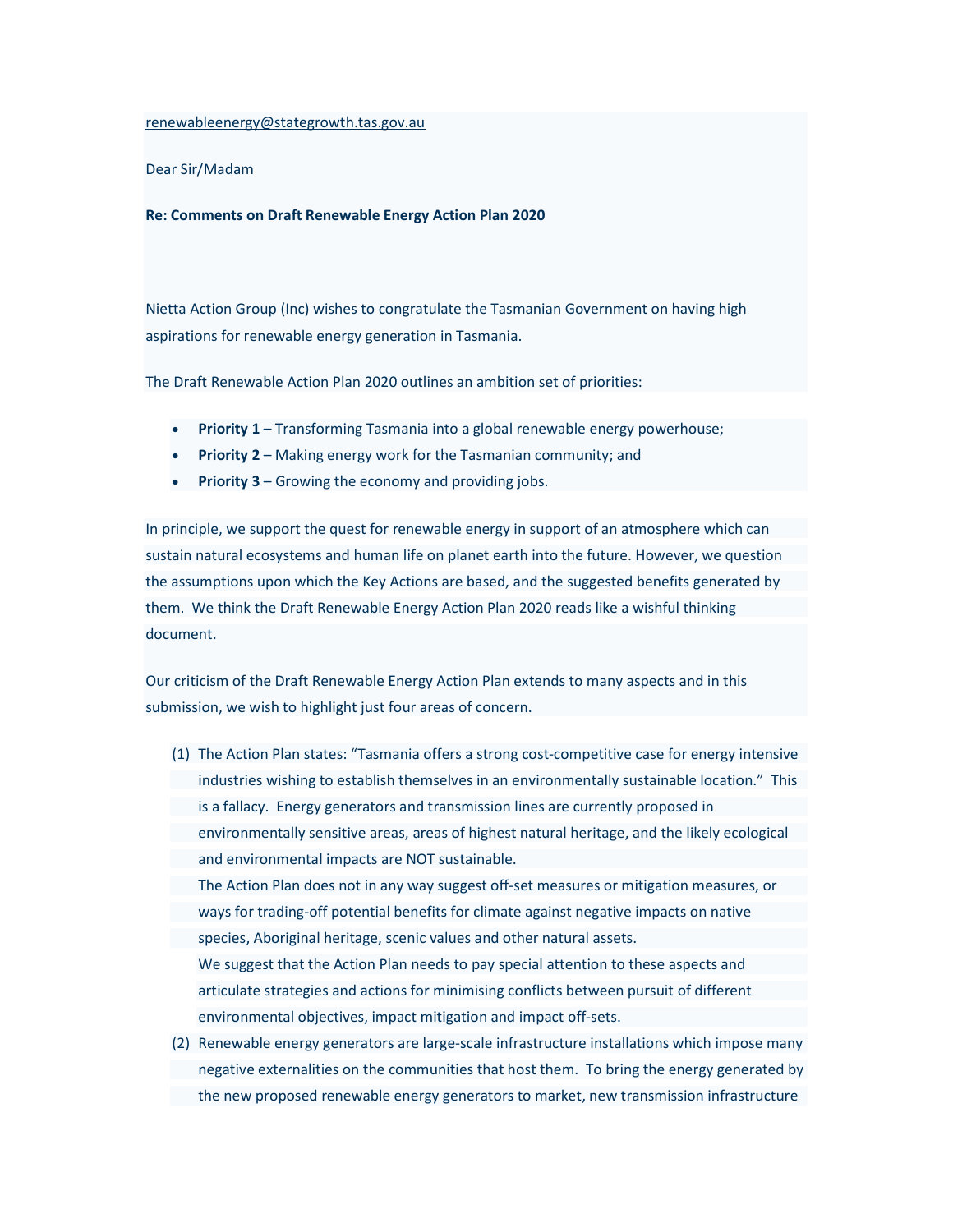renewableenergy@stategrowth.tas.gov.au

Dear Sir/Madam

Re: Comments on Draft Renewable Energy Action Plan 2020

Nietta Action Group (Inc) wishes to congratulate the Tasmanian Government on having high aspirations for renewable energy generation in Tasmania.

The Draft Renewable Action Plan 2020 outlines an ambition set of priorities:

- **Priority 1** Transforming Tasmania into a global renewable energy powerhouse;
- Priority 2 Making energy work for the Tasmanian community; and
- **Priority 3** Growing the economy and providing jobs.

In principle, we support the quest for renewable energy in support of an atmosphere which can sustain natural ecosystems and human life on planet earth into the future. However, we question the assumptions upon which the Key Actions are based, and the suggested benefits generated by them. We think the Draft Renewable Energy Action Plan 2020 reads like a wishful thinking document.

Our criticism of the Draft Renewable Energy Action Plan extends to many aspects and in this submission, we wish to highlight just four areas of concern.

- (1) The Action Plan states: "Tasmania offers a strong cost-competitive case for energy intensive industries wishing to establish themselves in an environmentally sustainable location." This is a fallacy. Energy generators and transmission lines are currently proposed in environmentally sensitive areas, areas of highest natural heritage, and the likely ecological and environmental impacts are NOT sustainable. The Action Plan does not in any way suggest off-set measures or mitigation measures, or ways for trading-off potential benefits for climate against negative impacts on native species, Aboriginal heritage, scenic values and other natural assets. We suggest that the Action Plan needs to pay special attention to these aspects and articulate strategies and actions for minimising conflicts between pursuit of different environmental objectives, impact mitigation and impact off-sets.
- (2) Renewable energy generators are large-scale infrastructure installations which impose many negative externalities on the communities that host them. To bring the energy generated by the new proposed renewable energy generators to market, new transmission infrastructure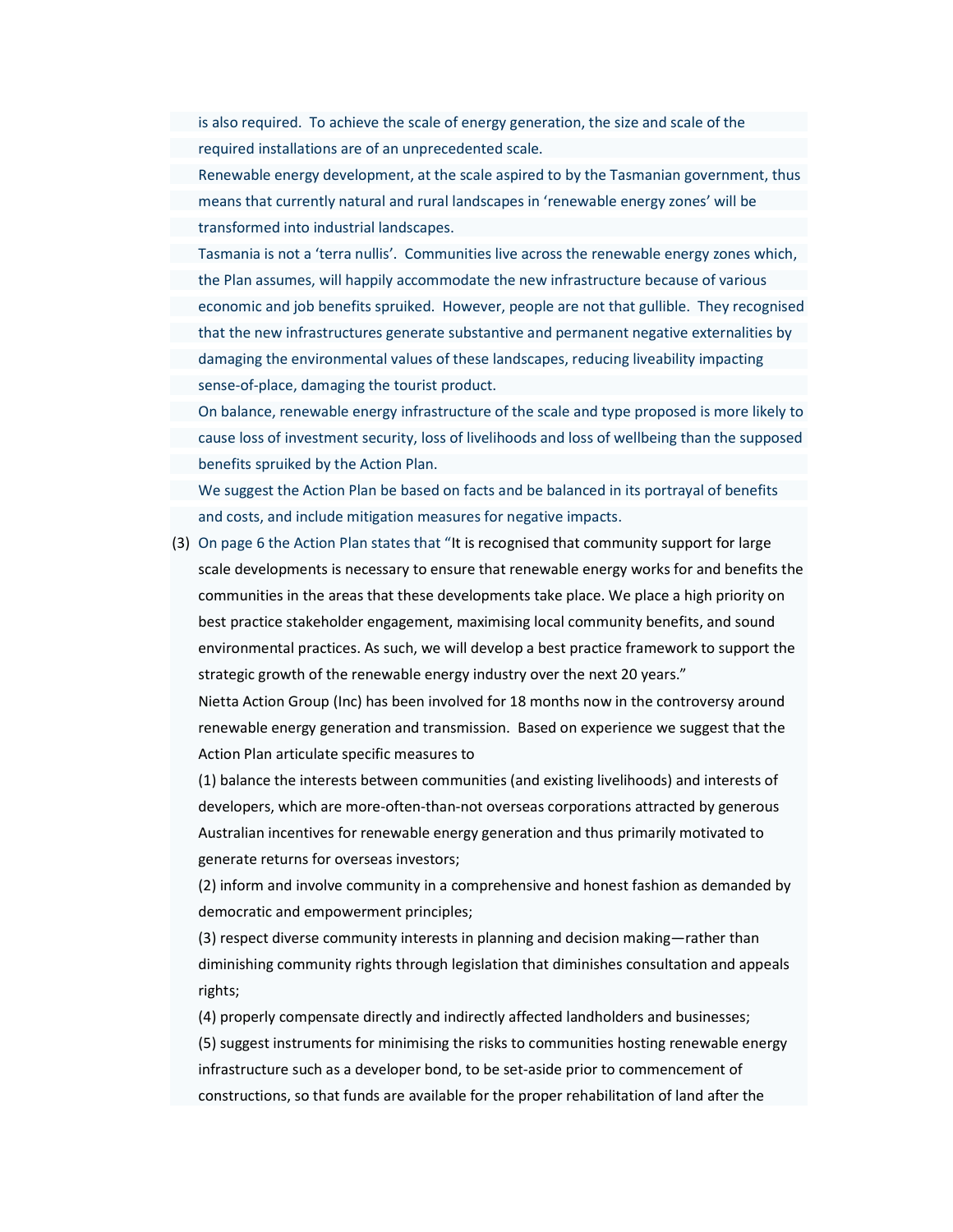is also required. To achieve the scale of energy generation, the size and scale of the required installations are of an unprecedented scale.

Renewable energy development, at the scale aspired to by the Tasmanian government, thus means that currently natural and rural landscapes in 'renewable energy zones' will be transformed into industrial landscapes.

Tasmania is not a 'terra nullis'. Communities live across the renewable energy zones which, the Plan assumes, will happily accommodate the new infrastructure because of various economic and job benefits spruiked. However, people are not that gullible. They recognised that the new infrastructures generate substantive and permanent negative externalities by damaging the environmental values of these landscapes, reducing liveability impacting sense-of-place, damaging the tourist product.

On balance, renewable energy infrastructure of the scale and type proposed is more likely to cause loss of investment security, loss of livelihoods and loss of wellbeing than the supposed benefits spruiked by the Action Plan.

We suggest the Action Plan be based on facts and be balanced in its portrayal of benefits and costs, and include mitigation measures for negative impacts.

(3) On page 6 the Action Plan states that "It is recognised that community support for large scale developments is necessary to ensure that renewable energy works for and benefits the communities in the areas that these developments take place. We place a high priority on best practice stakeholder engagement, maximising local community benefits, and sound environmental practices. As such, we will develop a best practice framework to support the strategic growth of the renewable energy industry over the next 20 years."

Nietta Action Group (Inc) has been involved for 18 months now in the controversy around renewable energy generation and transmission. Based on experience we suggest that the Action Plan articulate specific measures to

(1) balance the interests between communities (and existing livelihoods) and interests of developers, which are more-often-than-not overseas corporations attracted by generous Australian incentives for renewable energy generation and thus primarily motivated to generate returns for overseas investors;

(2) inform and involve community in a comprehensive and honest fashion as demanded by democratic and empowerment principles;

(3) respect diverse community interests in planning and decision making—rather than diminishing community rights through legislation that diminishes consultation and appeals rights;

(4) properly compensate directly and indirectly affected landholders and businesses; (5) suggest instruments for minimising the risks to communities hosting renewable energy infrastructure such as a developer bond, to be set-aside prior to commencement of constructions, so that funds are available for the proper rehabilitation of land after the